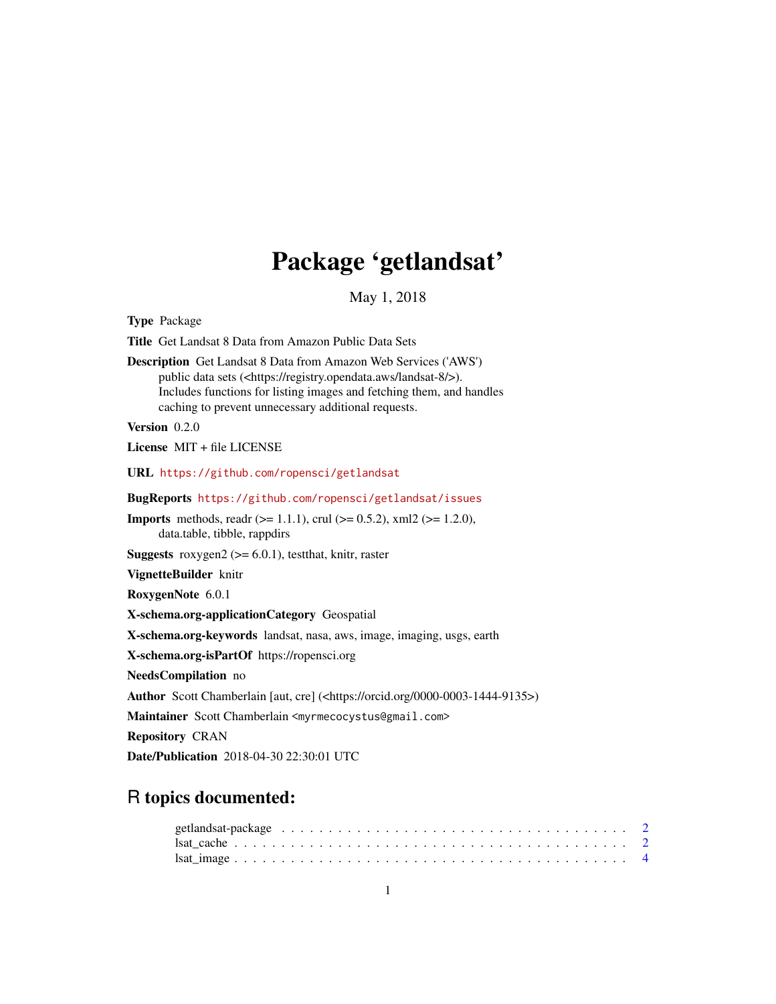## Package 'getlandsat'

May 1, 2018

<span id="page-0-0"></span>Type Package Title Get Landsat 8 Data from Amazon Public Data Sets Description Get Landsat 8 Data from Amazon Web Services ('AWS') public data sets (<https://registry.opendata.aws/landsat-8/>). Includes functions for listing images and fetching them, and handles caching to prevent unnecessary additional requests. Version 0.2.0 License MIT + file LICENSE URL <https://github.com/ropensci/getlandsat> BugReports <https://github.com/ropensci/getlandsat/issues> **Imports** methods, readr ( $>= 1.1.1$ ), crul ( $>= 0.5.2$ ), xml2 ( $>= 1.2.0$ ), data.table, tibble, rappdirs **Suggests** roxygen2 ( $>= 6.0.1$ ), testthat, knitr, raster VignetteBuilder knitr RoxygenNote 6.0.1 X-schema.org-applicationCategory Geospatial X-schema.org-keywords landsat, nasa, aws, image, imaging, usgs, earth X-schema.org-isPartOf https://ropensci.org NeedsCompilation no Author Scott Chamberlain [aut, cre] (<https://orcid.org/0000-0003-1444-9135>) Maintainer Scott Chamberlain <myrmecocystus@gmail.com> Repository CRAN Date/Publication 2018-04-30 22:30:01 UTC

### R topics documented: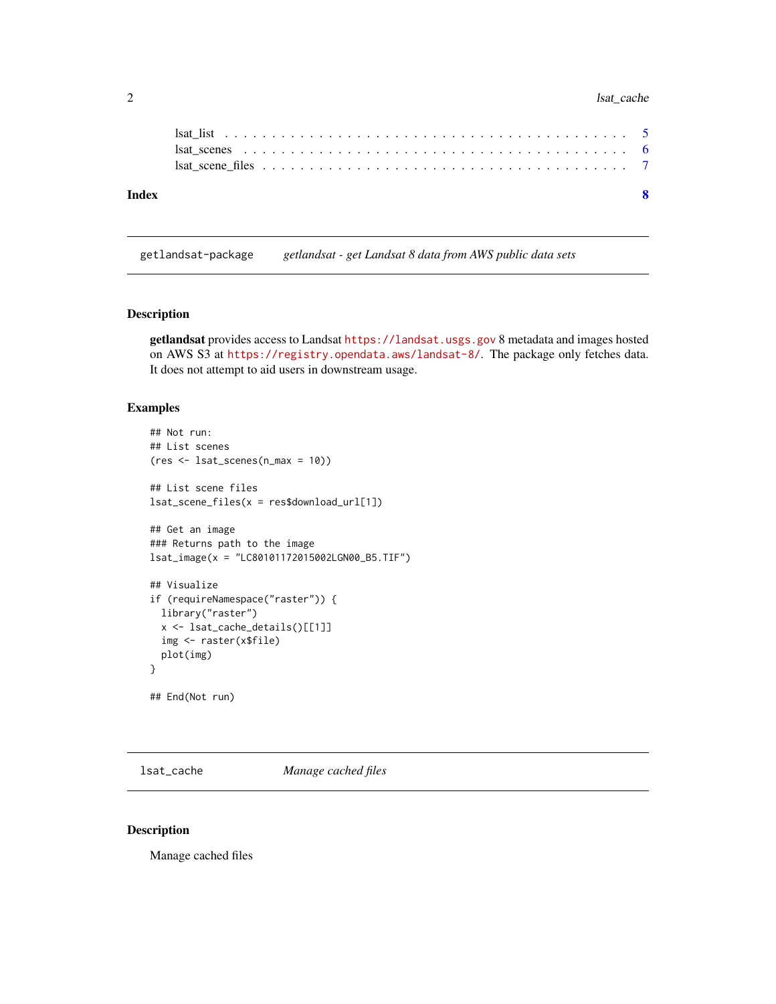#### <span id="page-1-0"></span>2 lsat\_cache lsat\_cache

| lsat scenes $\dots \dots \dots \dots \dots \dots \dots \dots \dots \dots \dots \dots \dots \dots \dots \dots \dots$ |  |
|---------------------------------------------------------------------------------------------------------------------|--|
|                                                                                                                     |  |
|                                                                                                                     |  |

getlandsat-package *getlandsat - get Landsat 8 data from AWS public data sets*

#### Description

getlandsat provides access to Landsat <https://landsat.usgs.gov> 8 metadata and images hosted on AWS S3 at <https://registry.opendata.aws/landsat-8/>. The package only fetches data. It does not attempt to aid users in downstream usage.

#### Examples

```
## Not run:
## List scenes
(res <- lsat_scenes(n_max = 10))
## List scene files
lsat_scene_files(x = res$download_url[1])
## Get an image
### Returns path to the image
lsat_image(x = "LC80101172015002LGN00_B5.TIF")
## Visualize
if (requireNamespace("raster")) {
  library("raster")
  x <- lsat_cache_details()[[1]]
  img <- raster(x$file)
  plot(img)
}
## End(Not run)
```
<span id="page-1-1"></span>lsat\_cache *Manage cached files*

#### Description

Manage cached files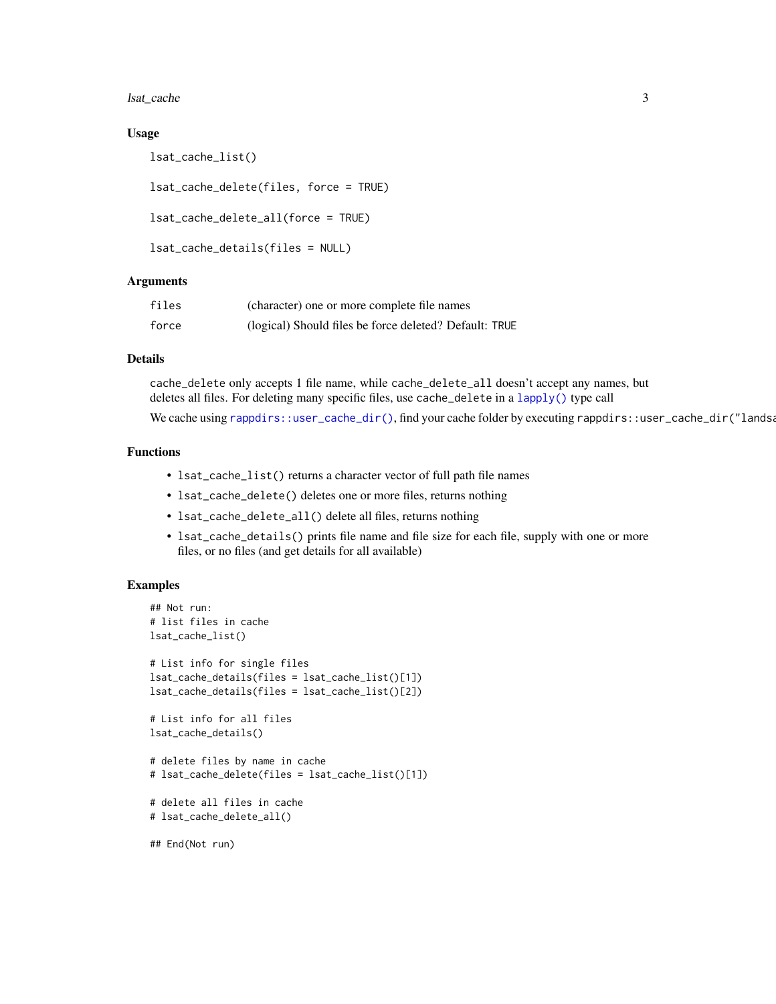<span id="page-2-0"></span>lsat\_cache 3

#### Usage

lsat\_cache\_list()

lsat\_cache\_delete(files, force = TRUE)

```
lsat_cache_delete_all(force = TRUE)
```

```
lsat_cache_details(files = NULL)
```
#### **Arguments**

| files | (character) one or more complete file names            |
|-------|--------------------------------------------------------|
| force | (logical) Should files be force deleted? Default: TRUE |

#### Details

cache\_delete only accepts 1 file name, while cache\_delete\_all doesn't accept any names, but deletes all files. For deleting many specific files, use cache\_delete in a [lapply\(\)](#page-0-0) type call

We cache using [rappdirs::user\\_cache\\_dir\(\)](#page-0-0), find your cache folder by executing rappdirs::user\_cache\_dir("landsa

#### Functions

- lsat\_cache\_list() returns a character vector of full path file names
- lsat\_cache\_delete() deletes one or more files, returns nothing
- lsat\_cache\_delete\_all() delete all files, returns nothing
- lsat\_cache\_details() prints file name and file size for each file, supply with one or more files, or no files (and get details for all available)

#### Examples

```
## Not run:
# list files in cache
lsat_cache_list()
# List info for single files
lsat_cache_details(files = lsat_cache_list()[1])
lsat_cache_details(files = lsat_cache_list()[2])
# List info for all files
lsat_cache_details()
# delete files by name in cache
# lsat_cache_delete(files = lsat_cache_list()[1])
# delete all files in cache
# lsat_cache_delete_all()
```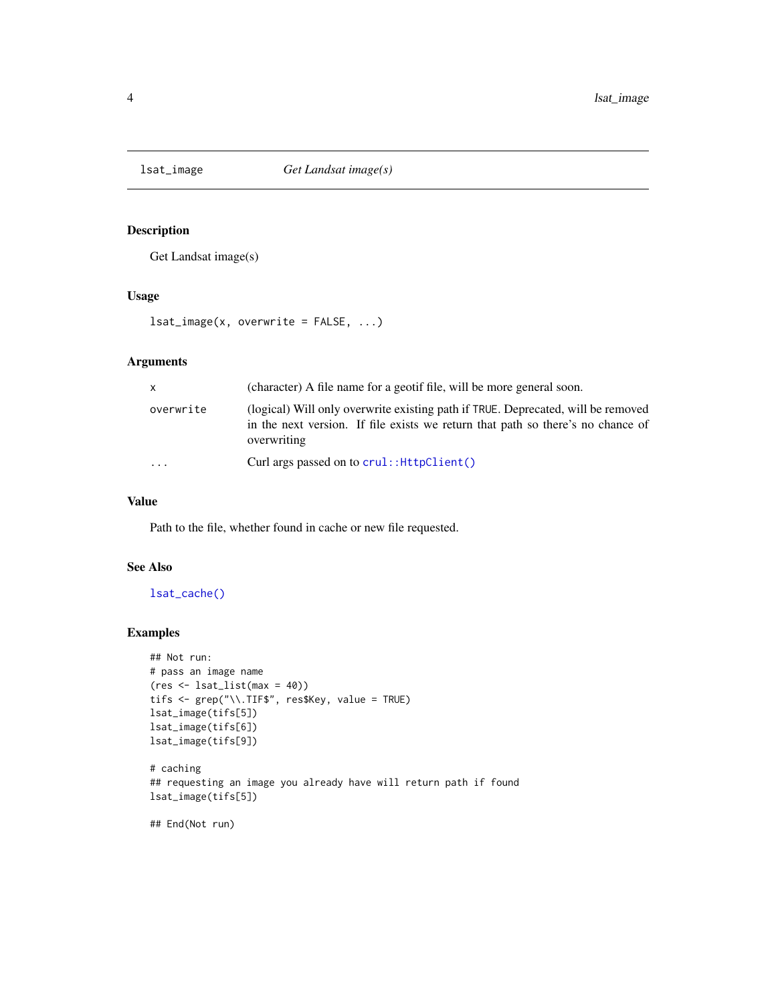<span id="page-3-0"></span>

#### Description

Get Landsat image(s)

#### Usage

 $lsat\_image(x, overwrite = FALSE, ...)$ 

#### Arguments

| $\mathsf{x}$ | (character) A file name for a geotif file, will be more general soon.                                                                                                              |
|--------------|------------------------------------------------------------------------------------------------------------------------------------------------------------------------------------|
| overwrite    | (logical) Will only overwrite existing path if TRUE. Deprecated, will be removed<br>in the next version. If file exists we return that path so there's no chance of<br>overwriting |
| $\cdot$      | Curl args passed on to crul:: HttpClient()                                                                                                                                         |

#### Value

Path to the file, whether found in cache or new file requested.

#### See Also

[lsat\\_cache\(\)](#page-1-1)

#### Examples

```
## Not run:
# pass an image name
(res <- lsat_list(max = 40))
tifs <- grep("\\.TIF$", res$Key, value = TRUE)
lsat_image(tifs[5])
lsat_image(tifs[6])
lsat_image(tifs[9])
# caching
## requesting an image you already have will return path if found
lsat_image(tifs[5])
## End(Not run)
```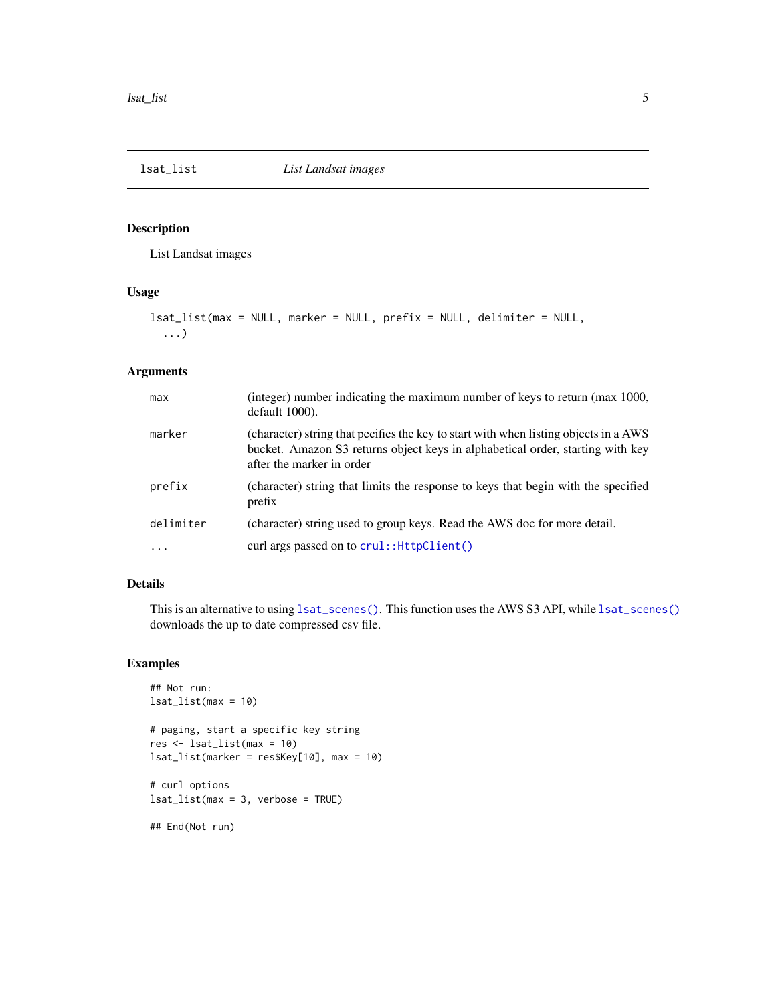<span id="page-4-1"></span><span id="page-4-0"></span>

#### Description

List Landsat images

#### Usage

```
lsat_list(max = NULL, marker = NULL, prefix = NULL, delimiter = NULL,
  ...)
```
#### Arguments

| max       | (integer) number indicating the maximum number of keys to return (max 1000,<br>default 1000).                                                                                                       |
|-----------|-----------------------------------------------------------------------------------------------------------------------------------------------------------------------------------------------------|
| marker    | (character) string that pecifies the key to start with when listing objects in a AWS<br>bucket. Amazon S3 returns object keys in alphabetical order, starting with key<br>after the marker in order |
| prefix    | (character) string that limits the response to keys that begin with the specified<br>prefix                                                                                                         |
| delimiter | (character) string used to group keys. Read the AWS doc for more detail.                                                                                                                            |
| $\cdots$  | curl args passed on to crul:: HttpClient()                                                                                                                                                          |

#### Details

This is an alternative to using [lsat\\_scenes\(\)](#page-5-1). This function uses the AWS S3 API, while lsat\_scenes() downloads the up to date compressed csv file.

#### Examples

```
## Not run:
lsat_list(max = 10)
# paging, start a specific key string
res <- lsat_list(max = 10)
lsat_list(marker = res$Key[10], max = 10)
# curl options
lsat_list(max = 3, verbose = TRUE)
```
## End(Not run)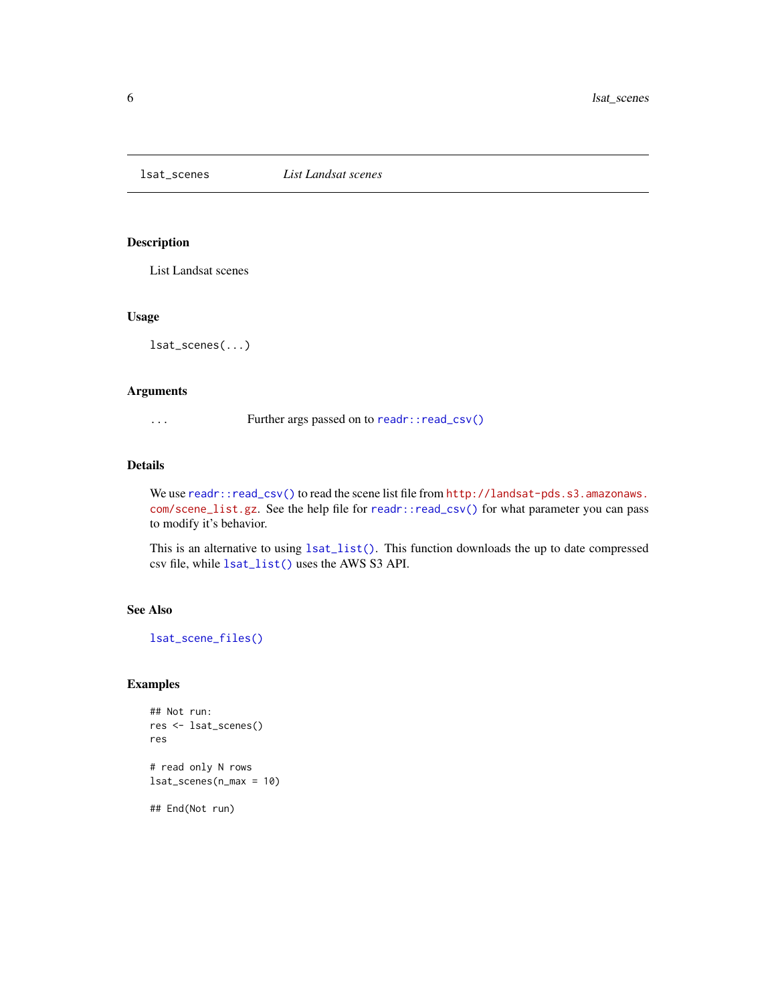<span id="page-5-1"></span><span id="page-5-0"></span>lsat\_scenes *List Landsat scenes*

#### Description

List Landsat scenes

#### Usage

lsat\_scenes(...)

#### Arguments

... Further args passed on to [readr::read\\_csv\(\)](#page-0-0)

#### Details

We use [readr::read\\_csv\(\)](#page-0-0) to read the scene list file from [http://landsat-pds.s3.amazonaws.](http://landsat-pds.s3.amazonaws.com/scene_list.gz) [com/scene\\_list.gz](http://landsat-pds.s3.amazonaws.com/scene_list.gz). See the help file for [readr::read\\_csv\(\)](#page-0-0) for what parameter you can pass to modify it's behavior.

This is an alternative to using [lsat\\_list\(\)](#page-4-1). This function downloads the up to date compressed csv file, while [lsat\\_list\(\)](#page-4-1) uses the AWS S3 API.

#### See Also

[lsat\\_scene\\_files\(\)](#page-6-1)

#### Examples

```
## Not run:
res <- lsat_scenes()
res
# read only N rows
lsat_scenes(n_max = 10)
## End(Not run)
```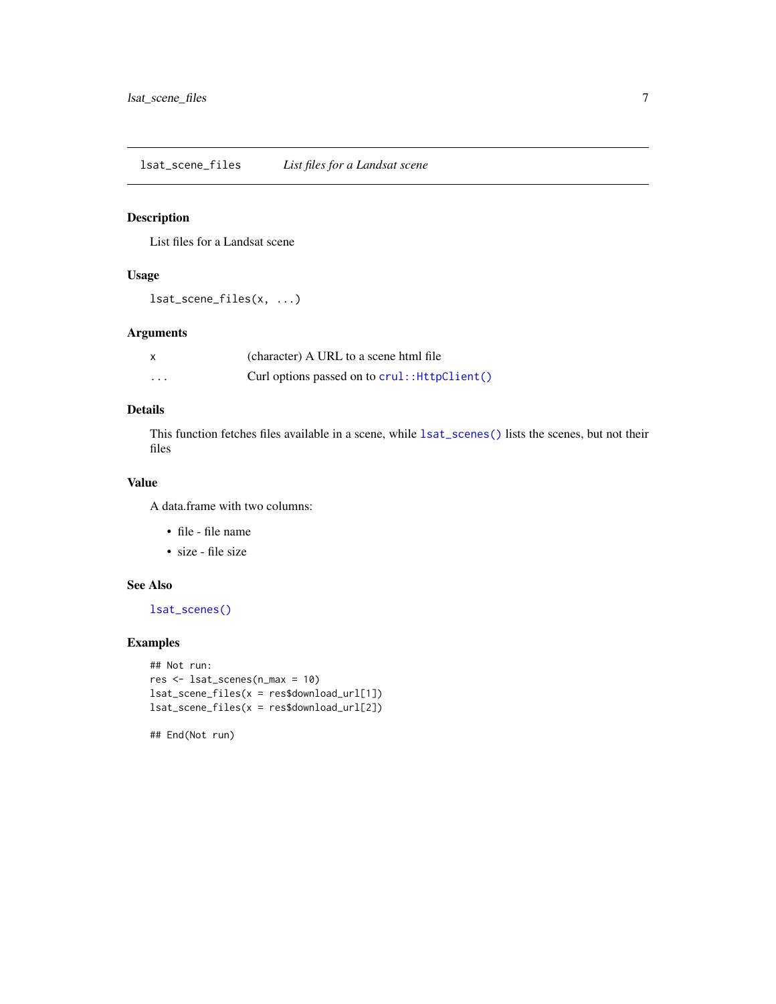<span id="page-6-1"></span><span id="page-6-0"></span>lsat\_scene\_files *List files for a Landsat scene*

#### Description

List files for a Landsat scene

#### Usage

lsat\_scene\_files(x, ...)

#### Arguments

|          | (character) A URL to a scene html file        |
|----------|-----------------------------------------------|
| $\cdots$ | Curl options passed on to crul:: HttpClient() |

#### Details

This function fetches files available in a scene, while [lsat\\_scenes\(\)](#page-5-1) lists the scenes, but not their files

#### Value

A data.frame with two columns:

- file file name
- size file size

#### See Also

[lsat\\_scenes\(\)](#page-5-1)

#### Examples

```
## Not run:
res <- lsat_scenes(n_max = 10)
lsat_scene_files(x = res$download_url[1])
lsat_scene_files(x = res$download_url[2])
```
## End(Not run)